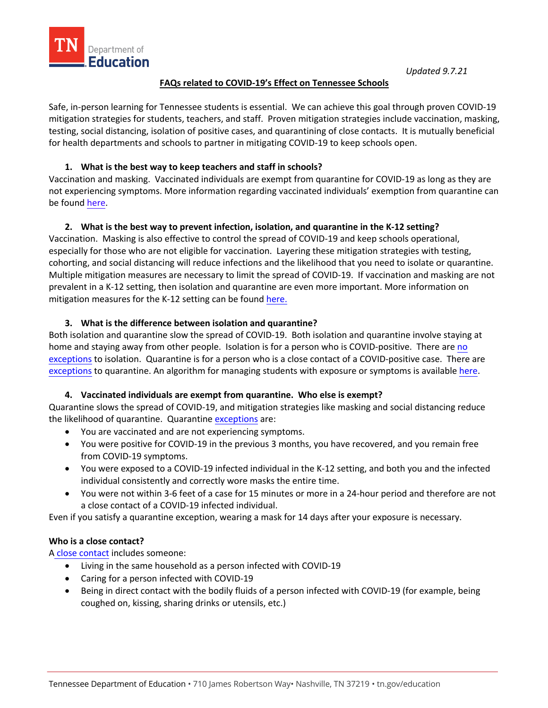

### **FAQs related to COVID-19's Effect on Tennessee Schools**

Safe, in-person learning for Tennessee students is essential. We can achieve this goal through proven COVID-19 mitigation strategies for students, teachers, and staff. Proven mitigation strategies include vaccination, masking, testing, social distancing, isolation of positive cases, and quarantining of close contacts. It is mutually beneficial for health departments and schools to partner in mitigating COVID-19 to keep schools open.

## **1. What is the best way to keep teachers and staff in schools?**

Vaccination and masking. Vaccinated individuals are exempt from quarantine for COVID-19 as long as they are not experiencing symptoms. More information regarding vaccinated individuals' exemption from quarantine can be found [here.](https://www.tn.gov/content/dam/tn/health/documents/cedep/novel-coronavirus/Isolation-QuarantineRelease.pdf) 

# **2. What is the best way to prevent infection, isolation, and quarantine in the K-12 setting?**

Vaccination. Masking is also effective to control the spread of COVID-19 and keep schools operational, especially for those who are not eligible for vaccination. Layering these mitigation strategies with testing, cohorting, and social distancing will reduce infections and the likelihood that you need to isolate or quarantine. Multiple mitigation measures are necessary to limit the spread of COVID-19. If vaccination and masking are not prevalent in a K-12 setting, then isolation and quarantine are even more important. More information on mitigation measures for the K-12 setting can be found [here.](https://www.tn.gov/health/cedep/ncov/educational-resources.html)

## **3. What is the difference between isolation and quarantine?**

Both isolation and quarantine slow the spread of COVID-19. Both isolation and quarantine involve staying at home and staying away from other people. Isolation is for a person who is COVID-positive. There are no [exceptions](https://www.tn.gov/content/dam/tn/health/documents/cedep/novel-coronavirus/Isolation-QuarantineRelease.pdf) to isolation. Quarantine is for a person who is a close contact of a COVID-positive case. There are [exceptions](https://www.tn.gov/content/dam/tn/health/documents/cedep/novel-coronavirus/Isolation-QuarantineRelease.pdf) to quarantine. An algorithm for managing students with exposure or symptoms is available [here.](https://www.tn.gov/content/dam/tn/health/documents/cedep/novel-coronavirus/TDH_Return_to_School_Algorithm.pdf)

## **4. Vaccinated individuals are exempt from quarantine. Who else is exempt?**

Quarantine slows the spread of COVID-19, and mitigation strategies like masking and social distancing reduce the likelihood of quarantine. Quarantine [exceptions](https://www.tn.gov/content/dam/tn/health/documents/cedep/novel-coronavirus/Isolation-QuarantineRelease.pdf) are:

- You are vaccinated and are not experiencing symptoms.
- You were positive for COVID-19 in the previous 3 months, you have recovered, and you remain free from COVID-19 symptoms.
- You were exposed to a COVID-19 infected individual in the K-12 setting, and both you and the infected individual consistently and correctly wore masks the entire time.
- You were not within 3-6 feet of a case for 15 minutes or more in a 24-hour period and therefore are not a close contact of a COVID-19 infected individual.

Even if you satisfy a quarantine exception, wearing a mask for 14 days after your exposure is necessary.

## **Who is a close contact?**

A [close contact](https://www.tn.gov/content/dam/tn/health/documents/cedep/novel-coronavirus/Isolation-QuarantineRelease.pdf) includes someone:

- Living in the same household as a person infected with COVID-19
- Caring for a person infected with COVID-19
- Being in direct contact with the bodily fluids of a person infected with COVID-19 (for example, being coughed on, kissing, sharing drinks or utensils, etc.)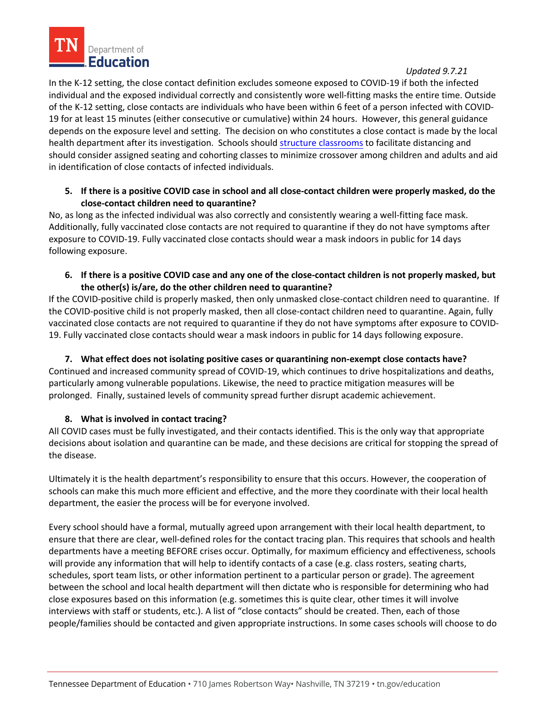

#### *Updated 9.7.21*

In the K-12 setting, the close contact definition excludes someone exposed to COVID-19 if both the infected individual and the exposed individual correctly and consistently wore well-fitting masks the entire time. Outside of the K-12 setting, close contacts are individuals who have been within 6 feet of a person infected with COVID-19 for at least 15 minutes (either consecutive or cumulative) within 24 hours. However, this general guidance depends on the exposure level and setting. The decision on who constitutes a close contact is made by the local health department after its investigation. Schools should [structure classrooms](https://www.cdc.gov/coronavirus/2019-ncov/community/schools-childcare/k-12-guidance.html) to facilitate distancing and should consider assigned seating and cohorting classes to minimize crossover among children and adults and aid in identification of close contacts of infected individuals.

# **5. If there is a positive COVID case in school and all close-contact children were properly masked, do the close-contact children need to quarantine?**

No, as long as the infected individual was also correctly and consistently wearing a well-fitting face mask. Additionally, fully vaccinated close contacts are not required to quarantine if they do not have symptoms after exposure to COVID-19. Fully vaccinated close contacts should wear a mask indoors in public for 14 days following exposure.

**6. If there is a positive COVID case and any one of the close-contact children is not properly masked, but the other(s) is/are, do the other children need to quarantine?**

If the COVID-positive child is properly masked, then only unmasked close-contact children need to quarantine. If the COVID-positive child is not properly masked, then all close-contact children need to quarantine. Again, fully vaccinated close contacts are not required to quarantine if they do not have symptoms after exposure to COVID-19. Fully vaccinated close contacts should wear a mask indoors in public for 14 days following exposure.

## **7. What effect does not isolating positive cases or quarantining non-exempt close contacts have?**

Continued and increased community spread of COVID-19, which continues to drive hospitalizations and deaths, particularly among vulnerable populations. Likewise, the need to practice mitigation measures will be prolonged. Finally, sustained levels of community spread further disrupt academic achievement.

## **8. What is involved in contact tracing?**

All COVID cases must be fully investigated, and their contacts identified. This is the only way that appropriate decisions about isolation and quarantine can be made, and these decisions are critical for stopping the spread of the disease.

Ultimately it is the health department's responsibility to ensure that this occurs. However, the cooperation of schools can make this much more efficient and effective, and the more they coordinate with their local health department, the easier the process will be for everyone involved.

Every school should have a formal, mutually agreed upon arrangement with their local health department, to ensure that there are clear, well-defined roles for the contact tracing plan. This requires that schools and health departments have a meeting BEFORE crises occur. Optimally, for maximum efficiency and effectiveness, schools will provide any information that will help to identify contacts of a case (e.g. class rosters, seating charts, schedules, sport team lists, or other information pertinent to a particular person or grade). The agreement between the school and local health department will then dictate who is responsible for determining who had close exposures based on this information (e.g. sometimes this is quite clear, other times it will involve interviews with staff or students, etc.). A list of "close contacts" should be created. Then, each of those people/families should be contacted and given appropriate instructions. In some cases schools will choose to do